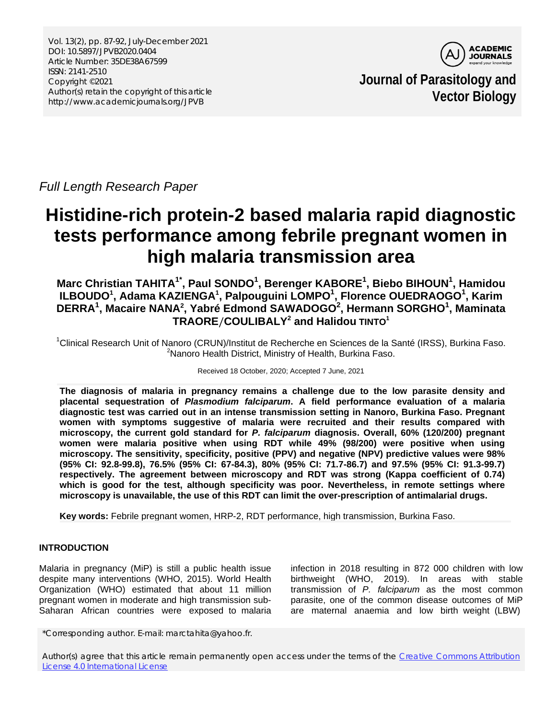Vol. 13(2), pp. 87-92, July-December 2021 DOI: 10.5897/JPVB2020.0404 Article Number: 35DE38A67599 ISSN: 2141-2510 Copyright ©2021 Author(s) retain the copyright of this article http://www.academicjournals.org/JPVB



**Journal of Parasitology and Vector Biology**

*Full Length Research Paper*

# **Histidine-rich protein-2 based malaria rapid diagnostic tests performance among febrile pregnant women in high malaria transmission area**

**Marc Christian TAHITA1\* , Paul SONDO<sup>1</sup> , Berenger KABORE1 , Biebo BIHOUN1 , Hamidou ILBOUDO<sup>1</sup> , Adama KAZIENGA1 , Palpouguini LOMPO1 , Florence OUEDRAOGO<sup>1</sup> , Karim DERRA1 , Macaire NANA2 , Yabré Edmond SAWADOGO<sup>2</sup> , Hermann SORGHO<sup>1</sup> , Maminata TRAORE**/**COULIBALY2 and Halidou TINTO<sup>1</sup>**

<sup>1</sup>Clinical Research Unit of Nanoro (CRUN)/Institut de Recherche en Sciences de la Santé (IRSS), Burkina Faso.<br><sup>2</sup>Nanoro Hoalth District, Ministry of Hoalth, Burkina Faso. <sup>2</sup> Nanoro Health District, Ministry of Health, Burkina Faso.

Received 18 October, 2020; Accepted 7 June, 2021

**The diagnosis of malaria in pregnancy remains a challenge due to the low parasite density and placental sequestration of** *Plasmodium falciparum***. A field performance evaluation of a malaria diagnostic test was carried out in an intense transmission setting in Nanoro, Burkina Faso. Pregnant women with symptoms suggestive of malaria were recruited and their results compared with microscopy, the current gold standard for** *P. falciparum* **diagnosis. Overall, 60% (120/200) pregnant women were malaria positive when using RDT while 49% (98/200) were positive when using microscopy. The sensitivity, specificity, positive (PPV) and negative (NPV) predictive values were 98% (95% CI: 92.8-99.8), 76.5% (95% CI: 67-84.3), 80% (95% CI: 71.7-86.7) and 97.5% (95% CI: 91.3-99.7) respectively. The agreement between microscopy and RDT was strong (Kappa coefficient of 0.74) which is good for the test, although specificity was poor. Nevertheless, in remote settings where microscopy is unavailable, the use of this RDT can limit the over-prescription of antimalarial drugs.**

**Key words:** Febrile pregnant women, HRP-2, RDT performance, high transmission, Burkina Faso.

## **INTRODUCTION**

Malaria in pregnancy (MiP) is still a public health issue despite many interventions (WHO, 2015). World Health Organization (WHO) estimated that about 11 million pregnant women in moderate and high transmission sub-Saharan African countries were exposed to malaria

infection in 2018 resulting in 872 000 children with low birthweight (WHO, 2019). In areas with stable transmission of *P. falciparum* as the most common parasite, one of the common disease outcomes of MiP are maternal anaemia and low birth weight (LBW)

\*Corresponding author. E-mail: marctahita@yahoo.fr.

Author(s) agree that this article remain permanently open access under the terms of the [Creative Commons Attribution](http://creativecommons.org/licenses/by/4.0/deed.en_US)  [License 4.0 International License](http://creativecommons.org/licenses/by/4.0/deed.en_US)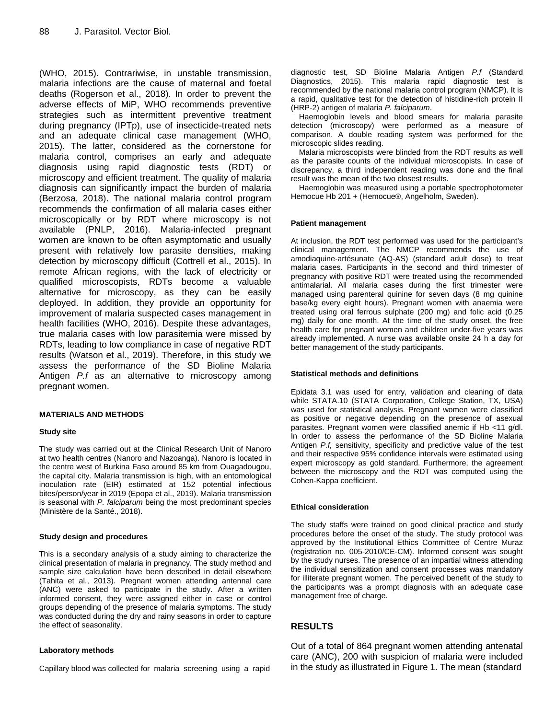(WHO, 2015). Contrariwise, in unstable transmission, malaria infections are the cause of maternal and foetal deaths (Rogerson et al., 2018). In order to prevent the adverse effects of MiP, WHO recommends preventive strategies such as intermittent preventive treatment during pregnancy (IPTp), use of insecticide-treated nets and an adequate clinical case management (WHO, 2015). The latter, considered as the cornerstone for malaria control, comprises an early and adequate diagnosis using rapid diagnostic tests (RDT) or microscopy and efficient treatment. The quality of malaria diagnosis can significantly impact the burden of malaria (Berzosa, 2018). The national malaria control program recommends the confirmation of all malaria cases either microscopically or by RDT where microscopy is not available (PNLP, 2016). Malaria-infected pregnant women are known to be often asymptomatic and usually present with relatively low parasite densities, making detection by microscopy difficult (Cottrell et al., 2015). In remote African regions, with the lack of electricity or qualified microscopists, RDTs become a valuable alternative for microscopy, as they can be easily deployed. In addition, they provide an opportunity for improvement of malaria suspected cases management in health facilities (WHO, 2016). Despite these advantages, true malaria cases with low parasitemia were missed by RDTs, leading to low compliance in case of negative RDT results (Watson et al., 2019). Therefore, in this study we assess the performance of the SD Bioline Malaria Antigen *P.f* as an alternative to microscopy among pregnant women.

#### **MATERIALS AND METHODS**

#### **Study site**

The study was carried out at the Clinical Research Unit of Nanoro at two health centres (Nanoro and Nazoanga). Nanoro is located in the centre west of Burkina Faso around 85 km from Ouagadougou, the capital city. Malaria transmission is high, with an entomological inoculation rate (EIR) estimated at 152 potential infectious bites/person/year in 2019 (Epopa et al., 2019). Malaria transmission is seasonal with *P. falciparum* being the most predominant species (Ministère de la Santé., 2018).

#### **Study design and procedures**

This is a secondary analysis of a study aiming to characterize the clinical presentation of malaria in pregnancy. The study method and sample size calculation have been described in detail elsewhere (Tahita et al., 2013). Pregnant women attending antennal care (ANC) were asked to participate in the study. After a written informed consent, they were assigned either in case or control groups depending of the presence of malaria symptoms. The study was conducted during the dry and rainy seasons in order to capture the effect of seasonality.

#### **Laboratory methods**

Capillary blood was collected for malaria screening using a rapid

diagnostic test, SD Bioline Malaria Antigen *P.f* (Standard Diagnostics, 2015). This malaria rapid diagnostic test is recommended by the national malaria control program (NMCP). It is a rapid, qualitative test for the detection of histidine-rich protein II (HRP-2) antigen of malaria *P. falciparum*.

Haemoglobin levels and blood smears for malaria parasite detection (microscopy) were performed as a measure of comparison. A double reading system was performed for the microscopic slides reading.

Malaria microscopists were blinded from the RDT results as well as the parasite counts of the individual microscopists. In case of discrepancy, a third independent reading was done and the final result was the mean of the two closest results.

Haemoglobin was measured using a portable spectrophotometer Hemocue Hb 201 + (Hemocue®, Angelholm, Sweden).

#### **Patient management**

At inclusion, the RDT test performed was used for the participant's clinical management. The NMCP recommends the use of amodiaquine-artésunate (AQ-AS) (standard adult dose) to treat malaria cases. Participants in the second and third trimester of pregnancy with positive RDT were treated using the recommended antimalarial. All malaria cases during the first trimester were managed using parenteral quinine for seven days (8 mg quinine base/kg every eight hours). Pregnant women with anaemia were treated using oral ferrous sulphate (200 mg) and folic acid (0.25 mg) daily for one month. At the time of the study onset, the free health care for pregnant women and children under-five years was already implemented. A nurse was available onsite 24 h a day for better management of the study participants.

#### **Statistical methods and definitions**

Epidata 3.1 was used for entry, validation and cleaning of data while STATA.10 (STATA Corporation, College Station, TX, USA) was used for statistical analysis. Pregnant women were classified as positive or negative depending on the presence of asexual parasites. Pregnant women were classified anemic if Hb <11 g/dl. In order to assess the performance of the SD Bioline Malaria Antigen *P.f,* sensitivity, specificity and predictive value of the test and their respective 95% confidence intervals were estimated using expert microscopy as gold standard. Furthermore, the agreement between the microscopy and the RDT was computed using the Cohen-Kappa coefficient.

#### **Ethical consideration**

The study staffs were trained on good clinical practice and study procedures before the onset of the study. The study protocol was approved by the Institutional Ethics Committee of Centre Muraz (registration no. 005-2010/CE-CM). Informed consent was sought by the study nurses. The presence of an impartial witness attending the individual sensitization and consent processes was mandatory for illiterate pregnant women. The perceived benefit of the study to the participants was a prompt diagnosis with an adequate case management free of charge.

## **RESULTS**

Out of a total of 864 pregnant women attending antenatal care (ANC), 200 with suspicion of malaria were included in the study as illustrated in Figure 1. The mean (standard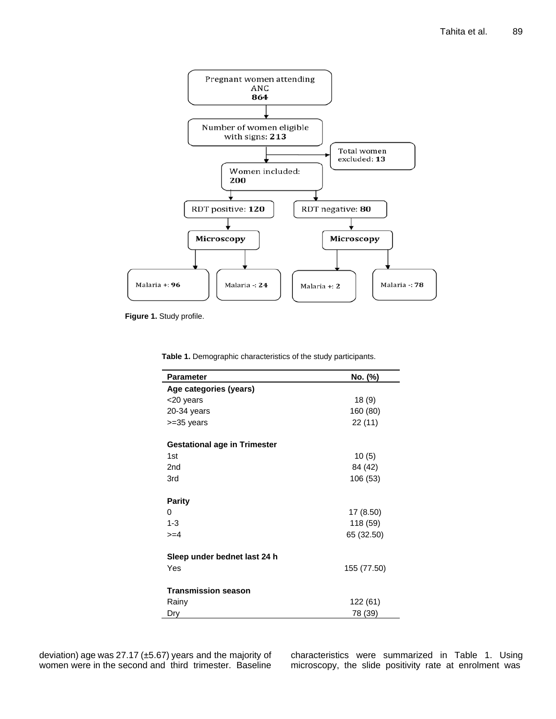

**Figure 1.** Study profile.

**Table 1.** Demographic characteristics of the study participants.

| <b>Parameter</b>                    | No. (%)     |
|-------------------------------------|-------------|
| Age categories (years)              |             |
| <20 years                           | 18 (9)      |
| 20-34 years                         | 160 (80)    |
| $>=35$ years                        | 22 (11)     |
| <b>Gestational age in Trimester</b> |             |
| 1st                                 | 10(5)       |
| 2 <sub>nd</sub>                     | 84 (42)     |
| 3rd                                 | 106 (53)    |
| <b>Parity</b>                       |             |
| 0                                   | 17 (8.50)   |
| $1 - 3$                             | 118 (59)    |
| $>= 4$                              | 65 (32.50)  |
| Sleep under bednet last 24 h        |             |
| Yes                                 | 155 (77.50) |
| <b>Transmission season</b>          |             |
| Rainy                               | 122 (61)    |
| Dry                                 | 78 (39)     |

characteristics were summarized in Table 1. Using microscopy, the slide positivity rate at enrolment was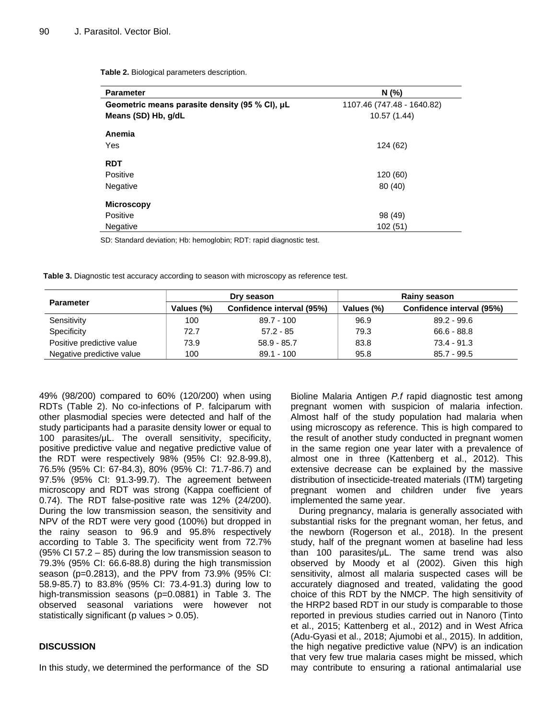| <b>Parameter</b>                               | N(% )                      |  |  |  |
|------------------------------------------------|----------------------------|--|--|--|
| Geometric means parasite density (95 % CI), µL | 1107.46 (747.48 - 1640.82) |  |  |  |
| Means (SD) Hb, g/dL                            | 10.57 (1.44)               |  |  |  |
| Anemia                                         |                            |  |  |  |
| Yes                                            | 124 (62)                   |  |  |  |
| <b>RDT</b>                                     |                            |  |  |  |
| Positive                                       | 120 (60)                   |  |  |  |
| Negative                                       | 80 (40)                    |  |  |  |
| <b>Microscopy</b>                              |                            |  |  |  |
| Positive                                       | 98 (49)                    |  |  |  |
| Negative                                       | 102(51)                    |  |  |  |

**Table 2.** Biological parameters description.

SD: Standard deviation; Hb: hemoglobin; RDT: rapid diagnostic test.

**Table 3.** Diagnostic test accuracy according to season with microscopy as reference test.

| <b>Parameter</b>          | Dry season |                           | Rainy season |                           |  |
|---------------------------|------------|---------------------------|--------------|---------------------------|--|
|                           | Values (%) | Confidence interval (95%) | Values (%)   | Confidence interval (95%) |  |
| Sensitivity               | 100        | 89.7 - 100                | 96.9         | $89.2 - 99.6$             |  |
| Specificity               | 72.7       | $57.2 - 85$               | 79.3         | $66.6 - 88.8$             |  |
| Positive predictive value | 73.9       | $58.9 - 85.7$             | 83.8         | $73.4 - 91.3$             |  |
| Negative predictive value | 100        | $89.1 - 100$              | 95.8         | $85.7 - 99.5$             |  |

49% (98/200) compared to 60% (120/200) when using RDTs (Table 2). No co-infections of P. falciparum with other plasmodial species were detected and half of the study participants had a parasite density lower or equal to 100 parasites/μL. The overall sensitivity, specificity, positive predictive value and negative predictive value of the RDT were respectively 98% (95% CI: 92.8-99.8), 76.5% (95% CI: 67-84.3), 80% (95% CI: 71.7-86.7) and 97.5% (95% CI: 91.3-99.7). The agreement between microscopy and RDT was strong (Kappa coefficient of 0.74). The RDT false-positive rate was 12% (24/200). During the low transmission season, the sensitivity and NPV of the RDT were very good (100%) but dropped in the rainy season to 96.9 and 95.8% respectively according to Table 3. The specificity went from 72.7% (95% CI 57.2 – 85) during the low transmission season to 79.3% (95% CI: 66.6-88.8) during the high transmission season (p=0.2813), and the PPV from 73.9% (95% CI: 58.9-85.7) to 83.8% (95% CI: 73.4-91.3) during low to high-transmission seasons (p=0.0881) in Table 3. The observed seasonal variations were however not statistically significant (p values > 0.05).

### **DISCUSSION**

In this study, we determined the performance of the SD

Bioline Malaria Antigen *P.f* rapid diagnostic test among pregnant women with suspicion of malaria infection. Almost half of the study population had malaria when using microscopy as reference. This is high compared to the result of another study conducted in pregnant women in the same region one year later with a prevalence of almost one in three (Kattenberg et al., 2012). This extensive decrease can be explained by the massive distribution of insecticide-treated materials (ITM) targeting pregnant women and children under five years implemented the same year.

During pregnancy, malaria is generally associated with substantial risks for the pregnant woman, her fetus, and the newborn (Rogerson et al., 2018). In the present study, half of the pregnant women at baseline had less than 100 parasites/μL. The same trend was also observed by Moody et al (2002). Given this high sensitivity, almost all malaria suspected cases will be accurately diagnosed and treated, validating the good choice of this RDT by the NMCP. The high sensitivity of the HRP2 based RDT in our study is comparable to those reported in previous studies carried out in Nanoro (Tinto et al., 2015; Kattenberg et al., 2012) and in West Africa (Adu-Gyasi et al., 2018; Ajumobi et al., 2015). In addition, the high negative predictive value (NPV) is an indication that very few true malaria cases might be missed, which may contribute to ensuring a rational antimalarial use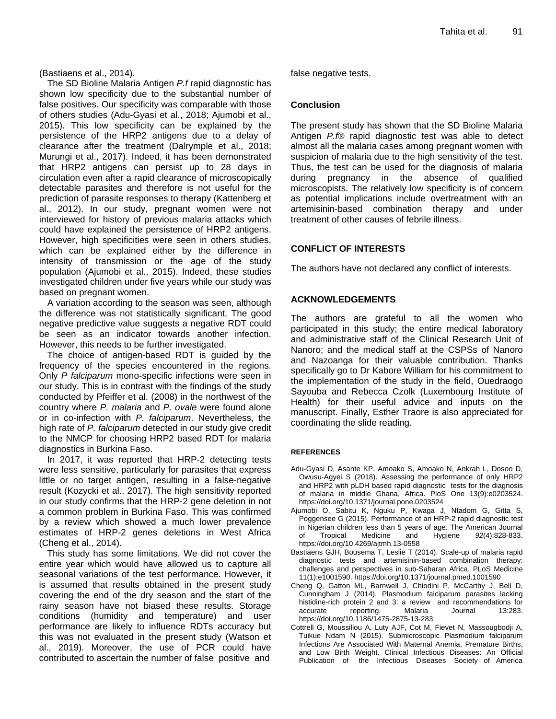(Bastiaens et al., 2014).

The SD Bioline Malaria Antigen *P.f* rapid diagnostic has shown low specificity due to the substantial number of false positives. Our specificity was comparable with those of others studies (Adu-Gyasi et al., 2018; Ajumobi et al., 2015). This low specificity can be explained by the persistence of the HRP2 antigens due to a delay of clearance after the treatment (Dalrymple et al., 2018; Murungi et al., 2017). Indeed, it has been demonstrated that HRP2 antigens can persist up to 28 days in circulation even after a rapid clearance of microscopically detectable parasites and therefore is not useful for the prediction of parasite responses to therapy (Kattenberg et al., 2012). In our study, pregnant women were not interviewed for history of previous malaria attacks which could have explained the persistence of HRP2 antigens. However, high specificities were seen in others studies, which can be explained either by the difference in intensity of transmission or the age of the study population (Ajumobi et al., 2015). Indeed, these studies investigated children under five years while our study was based on pregnant women.

A variation according to the season was seen, although the difference was not statistically significant. The good negative predictive value suggests a negative RDT could be seen as an indicator towards another infection. However, this needs to be further investigated.

The choice of antigen-based RDT is guided by the frequency of the species encountered in the regions. Only *P falciparum* mono-specific infections were seen in our study. This is in contrast with the findings of the study conducted by Pfeiffer et al. (2008) in the northwest of the country where *P. malaria* and *P. ovale* were found alone or in co-infection with *P. falciparum*. Nevertheless, the high rate of *P. falciparum* detected in our study give credit to the NMCP for choosing HRP2 based RDT for malaria diagnostics in Burkina Faso.

In 2017, it was reported that HRP-2 detecting tests were less sensitive, particularly for parasites that express little or no target antigen, resulting in a false-negative result (Kozycki et al., 2017). The high sensitivity reported in our study confirms that the HRP-2 gene deletion in not a common problem in Burkina Faso. This was confirmed by a review which showed a much lower prevalence estimates of HRP-2 genes deletions in West Africa (Cheng et al., 2014).

This study has some limitations. We did not cover the entire year which would have allowed us to capture all seasonal variations of the test performance. However, it is assumed that results obtained in the present study covering the end of the dry season and the start of the rainy season have not biased these results. Storage conditions (humidity and temperature) and user performance are likely to influence RDTs accuracy but this was not evaluated in the present study (Watson et al., 2019). Moreover, the use of PCR could have contributed to ascertain the number of false positive and

false negative tests.

#### **Conclusion**

The present study has shown that the SD Bioline Malaria Antigen *P.f*® rapid diagnostic test was able to detect almost all the malaria cases among pregnant women with suspicion of malaria due to the high sensitivity of the test. Thus, the test can be used for the diagnosis of malaria during pregnancy in the absence of qualified microscopists. The relatively low specificity is of concern as potential implications include overtreatment with an artemisinin-based combination therapy and under treatment of other causes of febrile illness.

#### **CONFLICT OF INTERESTS**

The authors have not declared any conflict of interests.

#### **ACKNOWLEDGEMENTS**

The authors are grateful to all the women who participated in this study; the entire medical laboratory and administrative staff of the Clinical Research Unit of Nanoro; and the medical staff at the CSPSs of Nanoro and Nazoanga for their valuable contribution. Thanks specifically go to Dr Kabore William for his commitment to the implementation of the study in the field, Ouedraogo Sayouba and Rebecca Czolk (Luxembourg Institute of Health) for their useful advice and inputs on the manuscript. Finally, Esther Traore is also appreciated for coordinating the slide reading.

#### **REFERENCES**

- Adu-Gyasi D, Asante KP, Amoako S, Amoako N, Ankrah L, Dosoo D, Owusu-Agyei S (2018). Assessing the performance of only HRP2 and HRP2 with pLDH based rapid diagnostic tests for the diagnosis of malaria in middle Ghana, Africa. PloS One 13(9):e0203524. https://doi.org/10.1371/journal.pone.0203524
- Ajumobi O, Sabitu K, Nguku P, Kwaga J, Ntadom G, Gitta S, Poggensee G (2015). Performance of an HRP-2 rapid diagnostic test in Nigerian children less than 5 years of age. The American Journal of Tropical Medicine and Hygiene *92*(4):828-833. https://doi.org/10.4269/ajtmh.13-0558
- Bastiaens GJH, Bousema T, Leslie T (2014). Scale-up of malaria rapid diagnostic tests and artemisinin-based combination therapy: challenges and perspectives in sub-Saharan Africa. PLoS Medicine 11(1):e1001590. https://doi.org/10.1371/journal.pmed.1001590
- Cheng Q, Gatton ML, Barnwell J, Chiodini P, McCarthy J, Bell D, Cunningham J (2014). Plasmodium falciparum parasites lacking histidine-rich protein 2 and 3: a review and recommendations for accurate reporting. Malaria Journal 13:283. https://doi.org/10.1186/1475-2875-13-283
- Cottrell G, Moussiliou A, Luty AJF, Cot M, Fievet N, Massougbodji A, Tuikue Ndam N (2015). Submicroscopic Plasmodium falciparum Infections Are Associated With Maternal Anemia, Premature Births, and Low Birth Weight. Clinical Infectious Diseases: An Official Publication of the Infectious Diseases Society of America